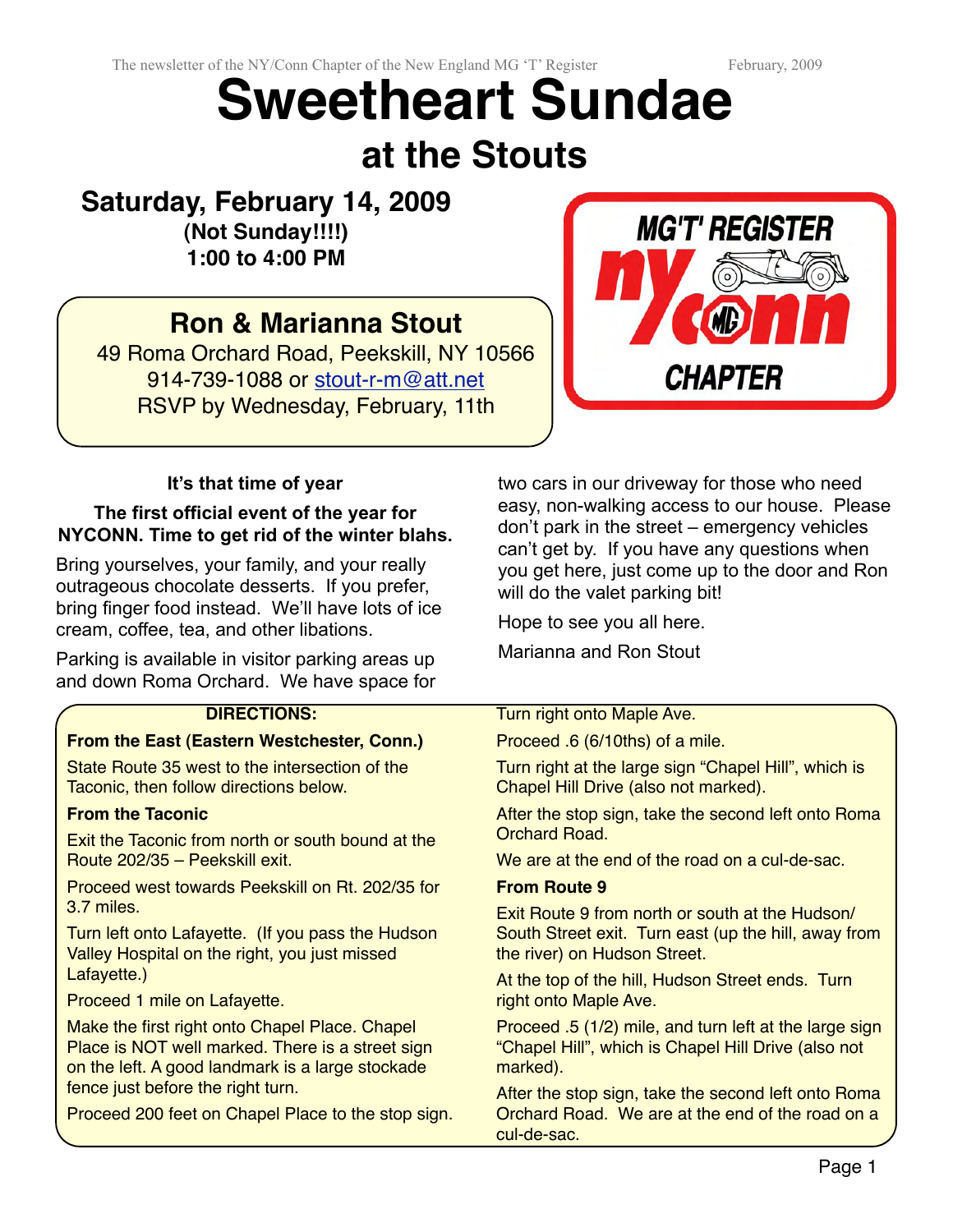# **Sweetheart Sundae at the Stouts**

# **Saturday, February 14, 2009**

**(Not Sunday!!!!) 1:00 to 4:00 PM**

# **Ron & Marianna Stout**

49 Roma Orchard Road, Peekskill, NY 10566 914-739-1088 or [stout-r-m@att.net](mailto:stout-r-m@att.net) RSVP by Wednesday, February, 11th



# **It's that time of year**

## **The first official event of the year for NYCONN. Time to get rid of the winter blahs.**

Bring yourselves, your family, and your really outrageous chocolate desserts. If you prefer, bring finger food instead. We'll have lots of ice cream, coffee, tea, and other libations.

Parking is available in visitor parking areas up and down Roma Orchard. We have space for

#### **DIRECTIONS:**

## **From the East (Eastern Westchester, Conn.)**

State Route 35 west to the intersection of the Taconic, then follow directions below.

## **From the Taconic**

Exit the Taconic from north or south bound at the Route 202/35 – Peekskill exit.

Proceed west towards Peekskill on Rt. 202/35 for 3.7 miles.

Turn left onto Lafayette. (If you pass the Hudson Valley Hospital on the right, you just missed Lafayette.)

Proceed 1 mile on Lafayette.

Make the first right onto Chapel Place. Chapel Place is NOT well marked. There is a street sign on the left. A good landmark is a large stockade fence just before the right turn.

Proceed 200 feet on Chapel Place to the stop sign.

two cars in our driveway for those who need easy, non-walking access to our house. Please don't park in the street – emergency vehicles can't get by. If you have any questions when you get here, just come up to the door and Ron will do the valet parking bit!

Hope to see you all here.

Marianna and Ron Stout

## Turn right onto Maple Ave.

Proceed .6 (6/10ths) of a mile.

Turn right at the large sign "Chapel Hill", which is Chapel Hill Drive (also not marked).

After the stop sign, take the second left onto Roma Orchard Road.

We are at the end of the road on a cul-de-sac.

#### **From Route 9**

Exit Route 9 from north or south at the Hudson/ South Street exit. Turn east (up the hill, away from the river) on Hudson Street.

At the top of the hill, Hudson Street ends. Turn right onto Maple Ave.

Proceed .5 (1/2) mile, and turn left at the large sign "Chapel Hill", which is Chapel Hill Drive (also not marked).

After the stop sign, take the second left onto Roma Orchard Road. We are at the end of the road on a cul-de-sac.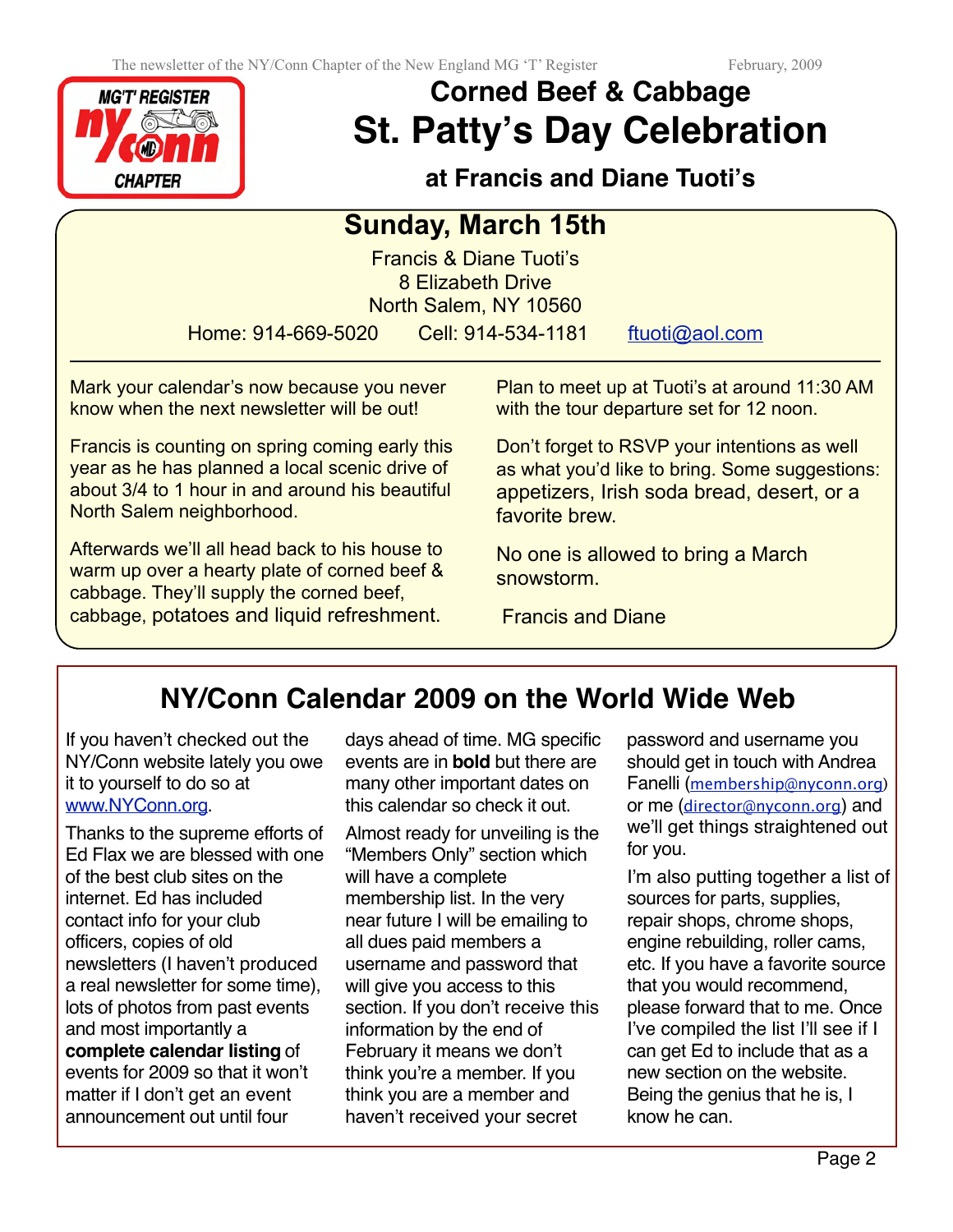

**Corned Beef & Cabbage St. Patty!s Day Celebration**

# **at Francis and Diane Tuoti!s**

# **Sunday, March 15th**

Francis & Diane Tuoti's 8 Elizabeth Drive North Salem, NY 10560

Home: 914-669-5020 Cell: 914-534-1181 [ftuoti@aol.com](mailto:ftuoti@aol.com)

Mark your calendar's now because you never know when the next newsletter will be out!

Francis is counting on spring coming early this year as he has planned a local scenic drive of about 3/4 to 1 hour in and around his beautiful North Salem neighborhood.

Afterwards we'll all head back to his house to warm up over a hearty plate of corned beef & cabbage. They'll supply the corned beef, cabbage, potatoes and liquid refreshment.

Plan to meet up at Tuoti's at around 11:30 AM with the tour departure set for 12 noon.

Don't forget to RSVP your intentions as well as what you'd like to bring. Some suggestions: appetizers, Irish soda bread, desert, or a favorite brew.

No one is allowed to bring a March snowstorm.

Francis and Diane

# **NY/Conn Calendar 2009 on the World Wide Web**

If you haven't checked out the NY/Conn website lately you owe it to yourself to do so at [www.NYConn.org.](http://www.NYConn.org)

Thanks to the supreme efforts of Ed Flax we are blessed with one of the best club sites on the internet. Ed has included contact info for your club officers, copies of old newsletters (I haven't produced a real newsletter for some time), lots of photos from past events and most importantly a **complete calendar listing** of events for 2009 so that it won't matter if I don't get an event announcement out until four

days ahead of time. MG specific events are in **bold** but there are many other important dates on this calendar so check it out.

Almost ready for unveiling is the "Members Only" section which will have a complete membership list. In the very near future I will be emailing to all dues paid members a username and password that will give you access to this section. If you don't receive this information by the end of February it means we don't think you're a member. If you think you are a member and haven't received your secret

password and username you should get in touch with Andrea Fanelli ([membership@nyconn.org\)](mailto:membership@nyconn.org) or me ([director@nyconn.org](mailto:director@nyconn.org)) and we'll get things straightened out for you.

I'm also putting together a list of sources for parts, supplies, repair shops, chrome shops, engine rebuilding, roller cams, etc. If you have a favorite source that you would recommend, please forward that to me. Once I've compiled the list I'll see if I can get Ed to include that as a new section on the website. Being the genius that he is, I know he can.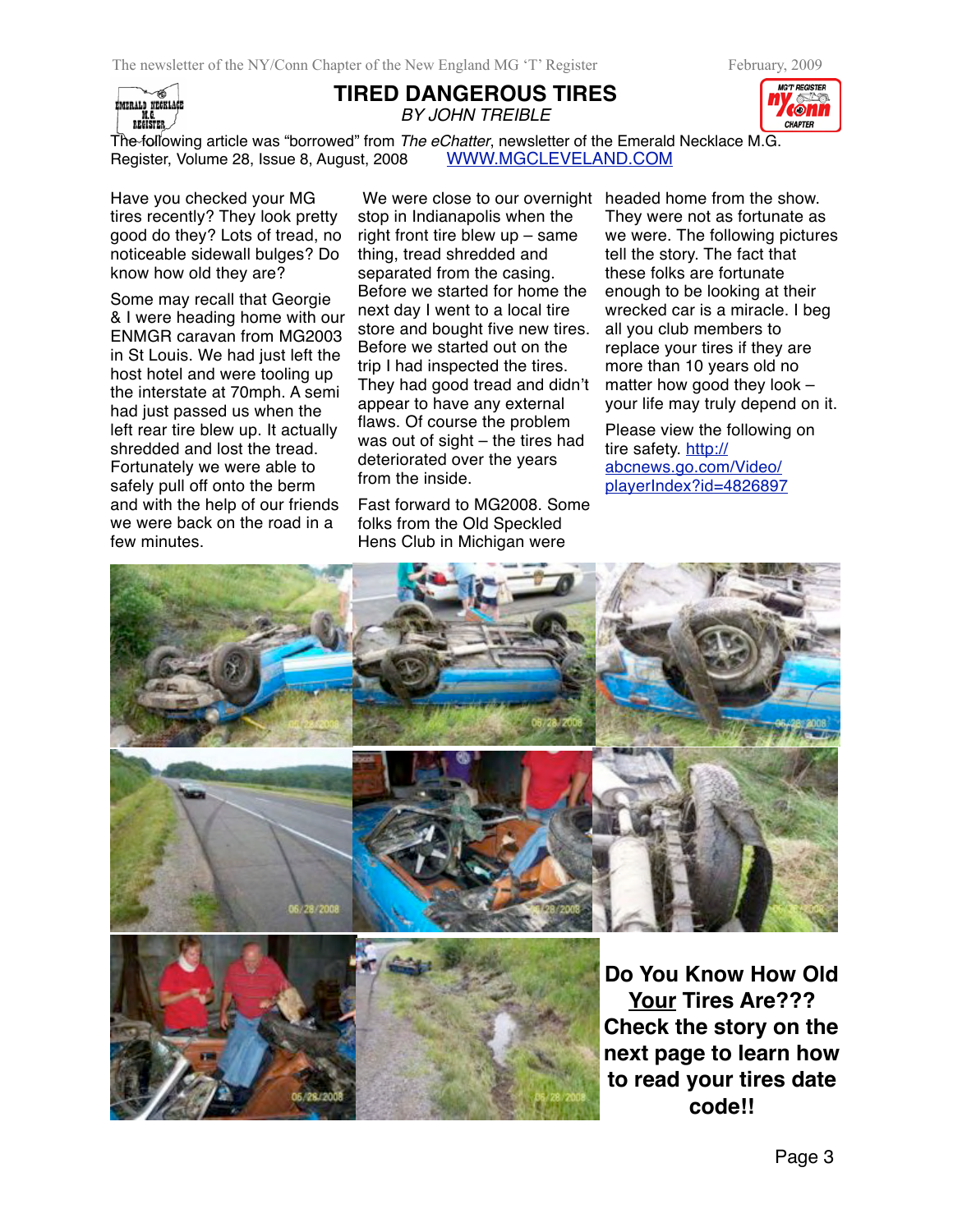

#### **TIRED DANGEROUS TIRES** *BY JOHN TREIBLE*

**MG'T REGISTER Com** 

The following article was "borrowed" from *The eChatter*, newsletter of the Emerald Necklace M.G.<br>Register, Volume 28, Issue 8, August, 2008 WWW.MGCLEVELAND.COM Register, Volume 28, Issue 8, August, 2008

Have you checked your MG tires recently? They look pretty good do they? Lots of tread, no noticeable sidewall bulges? Do know how old they are?

Some may recall that Georgie & I were heading home with our ENMGR caravan from MG2003 in St Louis. We had just left the host hotel and were tooling up the interstate at 70mph. A semi had just passed us when the left rear tire blew up. It actually shredded and lost the tread. Fortunately we were able to safely pull off onto the berm and with the help of our friends we were back on the road in a few minutes.

 We were close to our overnight headed home from the show. stop in Indianapolis when the right front tire blew up – same thing, tread shredded and separated from the casing. Before we started for home the next day I went to a local tire store and bought five new tires. Before we started out on the trip I had inspected the tires. They had good tread and didn't appear to have any external flaws. Of course the problem was out of sight – the tires had deteriorated over the years from the inside.

Fast forward to MG2008. Some folks from the Old Speckled Hens Club in Michigan were

They were not as fortunate as we were. The following pictures tell the story. The fact that these folks are fortunate enough to be looking at their wrecked car is a miracle. I beg all you club members to replace your tires if they are more than 10 years old no matter how good they look – your life may truly depend on it.

Please view the following on tire safety. [http://](http://abcnews.go.com/Video/playerIndex?id=4826897) [abcnews.go.com/Video/](http://abcnews.go.com/Video/playerIndex?id=4826897) [playerIndex?id=4826897](http://abcnews.go.com/Video/playerIndex?id=4826897)

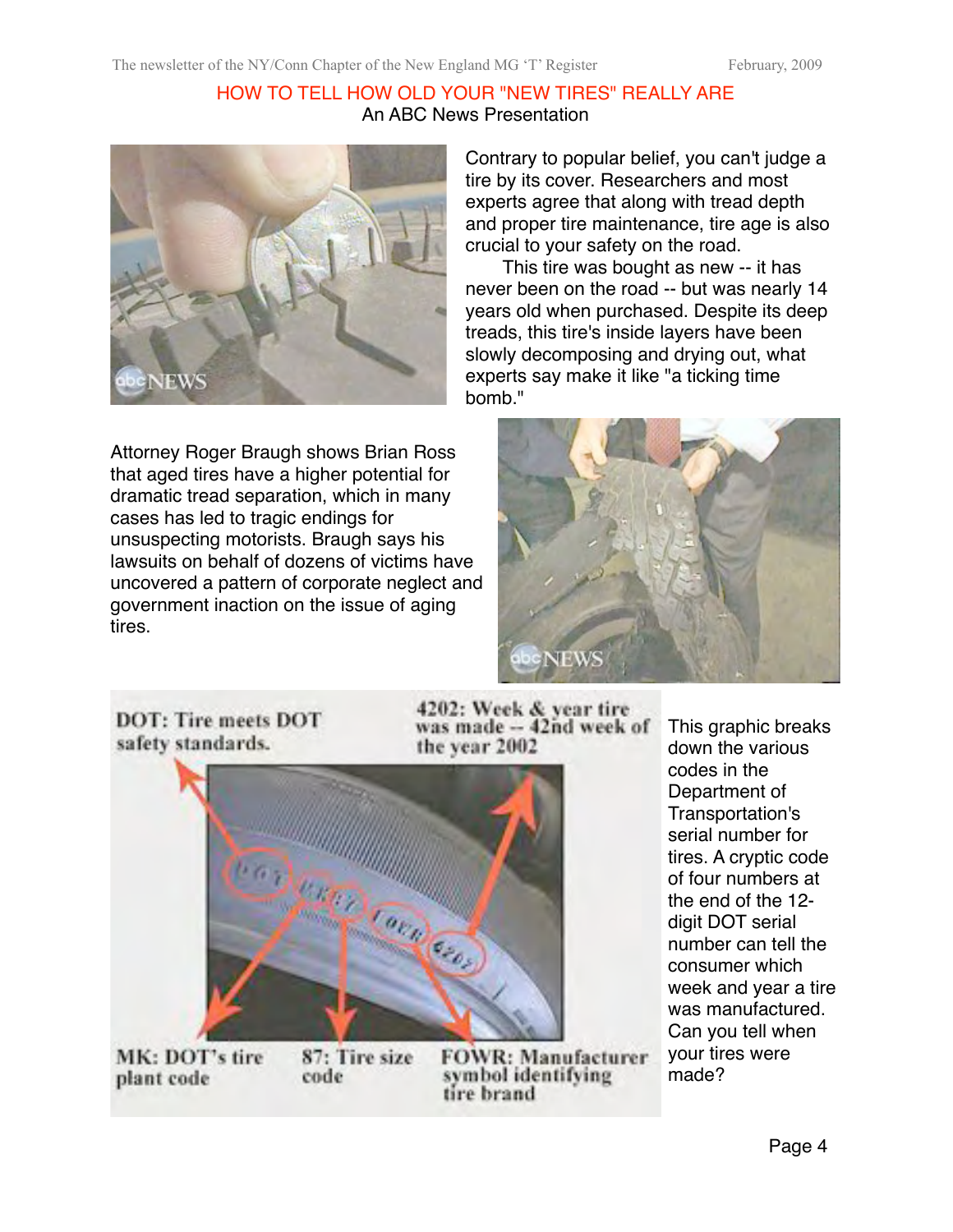## HOW TO TELL HOW OLD YOUR "NEW TIRES" REALLY ARE An ABC News Presentation



Attorney Roger Braugh shows Brian Ross that aged tires have a higher potential for dramatic tread separation, which in many cases has led to tragic endings for unsuspecting motorists. Braugh says his lawsuits on behalf of dozens of victims have uncovered a pattern of corporate neglect and government inaction on the issue of aging tires.

Contrary to popular belief, you can't judge a tire by its cover. Researchers and most experts agree that along with tread depth and proper tire maintenance, tire age is also crucial to your safety on the road.

This tire was bought as new -- it has never been on the road -- but was nearly 14 years old when purchased. Despite its deep treads, this tire's inside layers have been slowly decomposing and drying out, what experts say make it like "a ticking time bomb."



**DOT: Tire meets DOT** safety standards.

4202: Week & year tire was made -- 42nd week of the year 2002



MK: DOT's tire code plant code

87: Tire size

**FOWR: Manufacturer** symbol identifying tire brand

This graphic breaks down the various codes in the Department of Transportation's serial number for tires. A cryptic code of four numbers at the end of the 12 digit DOT serial number can tell the consumer which week and year a tire was manufactured. Can you tell when your tires were made?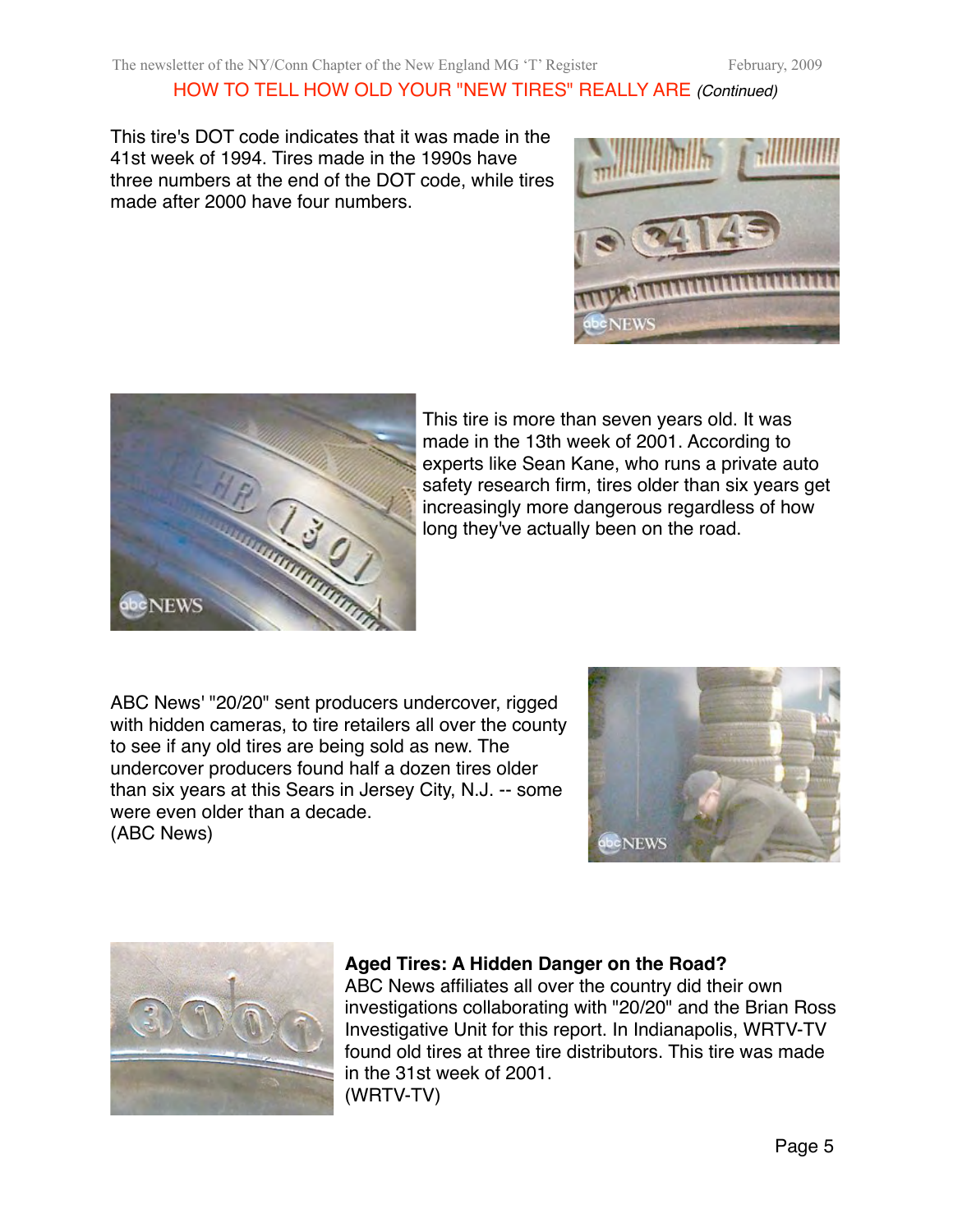## HOW TO TELL HOW OLD YOUR "NEW TIRES" REALLY ARE *(Continued)*

This tire's DOT code indicates that it was made in the 41st week of 1994. Tires made in the 1990s have three numbers at the end of the DOT code, while tires made after 2000 have four numbers.





This tire is more than seven years old. It was made in the 13th week of 2001. According to experts like Sean Kane, who runs a private auto safety research firm, tires older than six years get increasingly more dangerous regardless of how long they've actually been on the road.

ABC News' "20/20" sent producers undercover, rigged with hidden cameras, to tire retailers all over the county to see if any old tires are being sold as new. The undercover producers found half a dozen tires older than six years at this Sears in Jersey City, N.J. -- some were even older than a decade. (ABC News)





## **Aged Tires: A Hidden Danger on the Road?**

ABC News affiliates all over the country did their own investigations collaborating with "20/20" and the Brian Ross Investigative Unit for this report. In Indianapolis, WRTV-TV found old tires at three tire distributors. This tire was made in the 31st week of 2001. (WRTV-TV)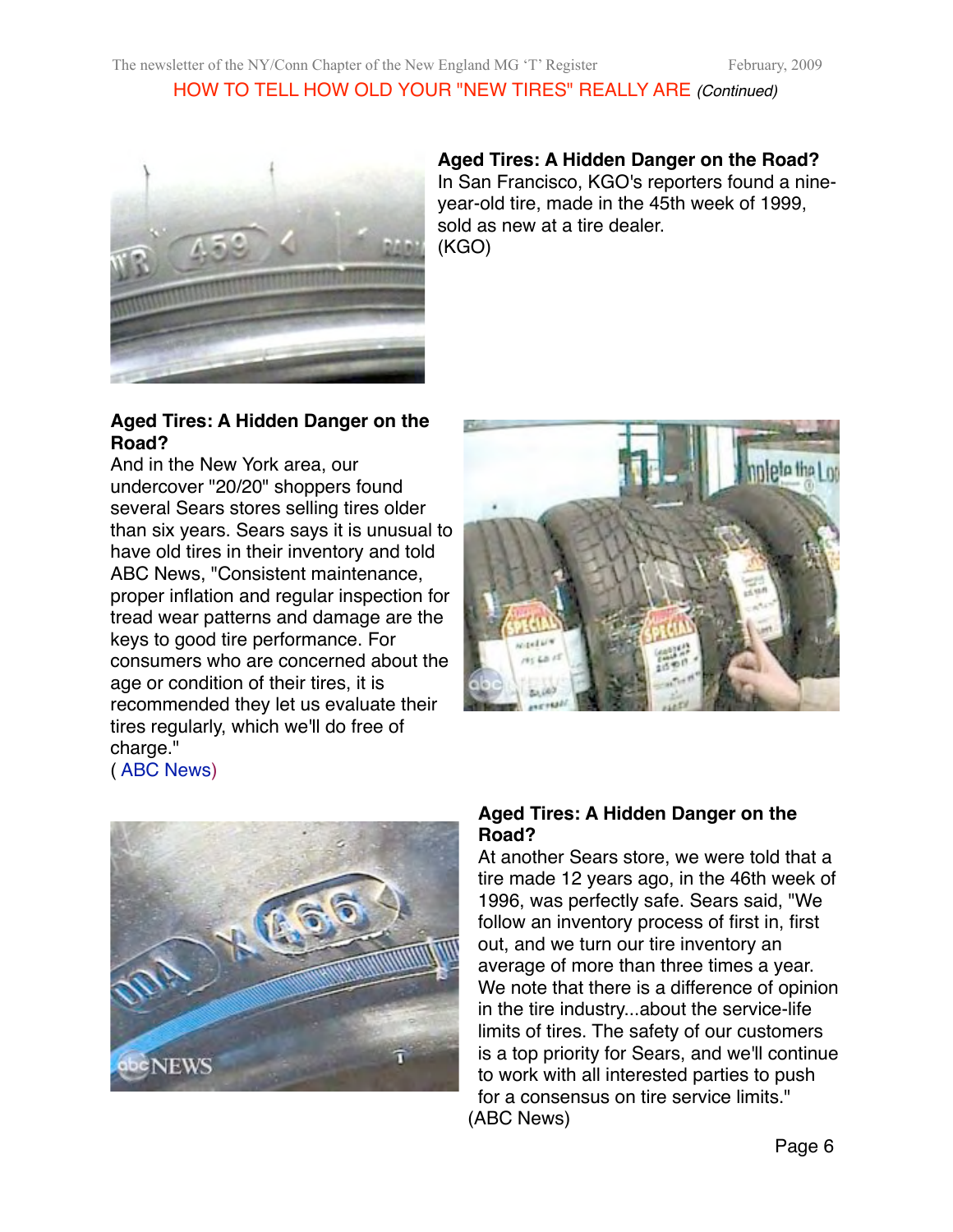

### **Aged Tires: A Hidden Danger on the Road?**

In San Francisco, KGO's reporters found a nineyear-old tire, made in the 45th week of 1999, sold as new at a tire dealer. (KGO)

#### **Aged Tires: A Hidden Danger on the Road?**

And in the New York area, our undercover "20/20" shoppers found several Sears stores selling tires older than six years. Sears says it is unusual to have old tires in their inventory and told ABC News, "Consistent maintenance, proper inflation and regular inspection for tread wear patterns and damage are the keys to good tire performance. For consumers who are concerned about the age or condition of their tires, it is recommended they let us evaluate their tires regularly, which we'll do free of charge." [\( ABC News\)](http://abcnews.go.com/)





#### **Aged Tires: A Hidden Danger on the Road?**

At another Sears store, we were told that a tire made 12 years ago, in the 46th week of 1996, was perfectly safe. Sears said, "We follow an inventory process of first in, first out, and we turn our tire inventory an average of more than three times a year. We note that there is a difference of opinion in the tire industry...about the service-life limits of tires. The safety of our customers is a top priority for Sears, and we'll continue to work with all interested parties to push for a consensus on tire service limits." (ABC News)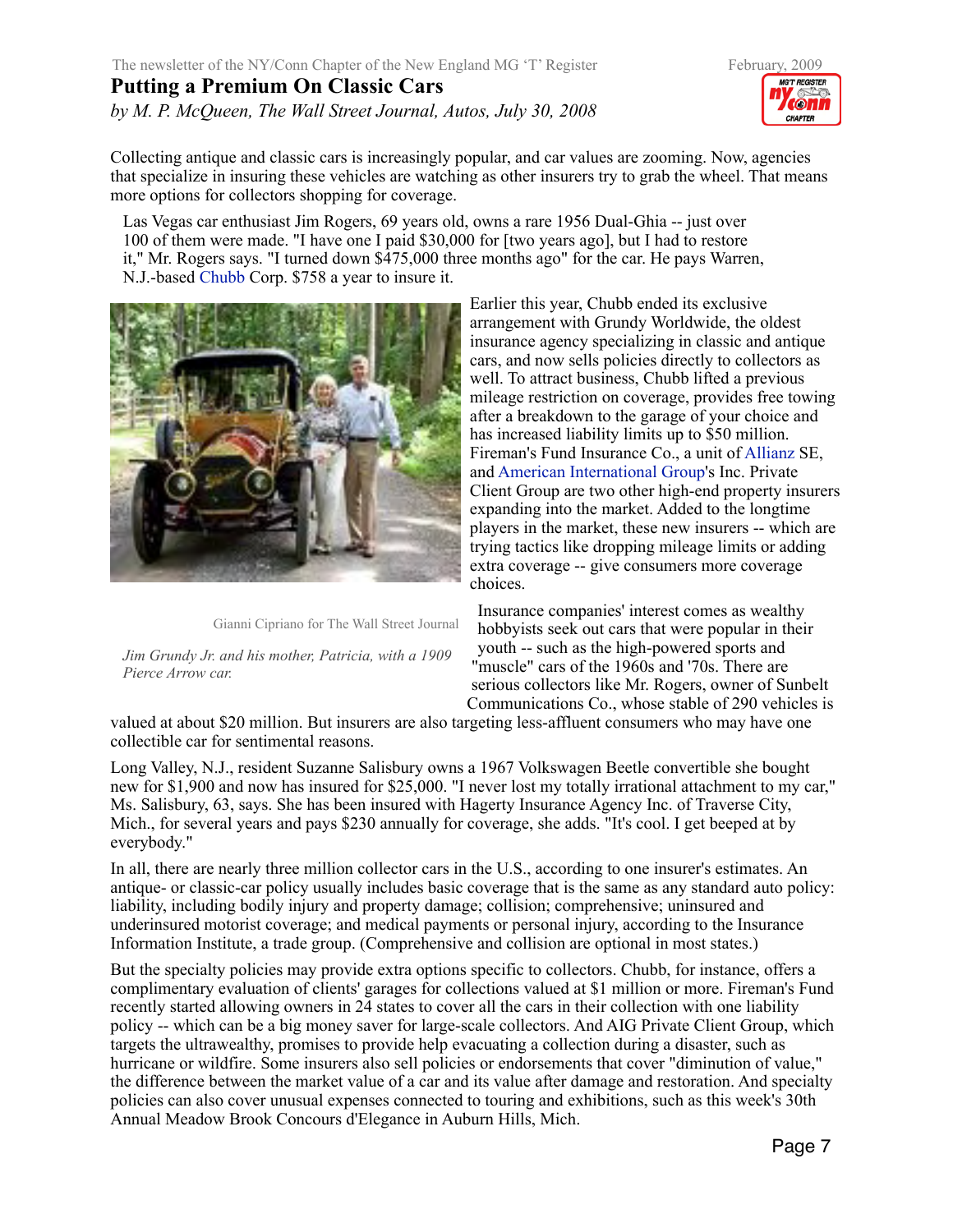### **Putting a Premium On Classic Cars**

*by M. P. McQueen, The Wall Street Journal, Autos, July 30, 2008*



Collecting antique and classic cars is increasingly popular, and car values are zooming. Now, agencies that specialize in insuring these vehicles are watching as other insurers try to grab the wheel. That means more options for collectors shopping for coverage.

Las Vegas car enthusiast Jim Rogers, 69 years old, owns a rare 1956 Dual-Ghia -- just over 100 of them were made. "I have one I paid \$30,000 for [two years ago], but I had to restore it," Mr. Rogers says. "I turned down \$475,000 three months ago" for the car. He pays Warren, N.J.-based [Chubb](http://online.wsj.com/public/quotes/main.html?type=djn&symbol=cb) Corp. \$758 a year to insure it.



Gianni Cipriano for The Wall Street Journal

*Jim Grundy Jr. and his mother, Patricia, with a 1909 Pierce Arrow car.*

Earlier this year, Chubb ended its exclusive arrangement with Grundy Worldwide, the oldest insurance agency specializing in classic and antique cars, and now sells policies directly to collectors as well. To attract business, Chubb lifted a previous mileage restriction on coverage, provides free towing after a breakdown to the garage of your choice and has increased liability limits up to \$50 million. Fireman's Fund Insurance Co., a unit of [Allianz S](http://online.wsj.com/public/quotes/main.html?type=djn&symbol=az)E, and [American International Group'](http://online.wsj.com/public/quotes/main.html?type=djn&symbol=aig)s Inc. Private Client Group are two other high-end property insurers expanding into the market. Added to the longtime players in the market, these new insurers -- which are trying tactics like dropping mileage limits or adding extra coverage -- give consumers more coverage choices.

Insurance companies' interest comes as wealthy hobbyists seek out cars that were popular in their youth -- such as the high-powered sports and "muscle" cars of the 1960s and '70s. There are serious collectors like Mr. Rogers, owner of Sunbelt Communications Co., whose stable of 290 vehicles is

valued at about \$20 million. But insurers are also targeting less-affluent consumers who may have one collectible car for sentimental reasons.

Long Valley, N.J., resident Suzanne Salisbury owns a 1967 Volkswagen Beetle convertible she bought new for \$1,900 and now has insured for \$25,000. "I never lost my totally irrational attachment to my car," Ms. Salisbury, 63, says. She has been insured with Hagerty Insurance Agency Inc. of Traverse City, Mich., for several years and pays \$230 annually for coverage, she adds. "It's cool. I get beeped at by everybody."

In all, there are nearly three million collector cars in the U.S., according to one insurer's estimates. An antique- or classic-car policy usually includes basic coverage that is the same as any standard auto policy: liability, including bodily injury and property damage; collision; comprehensive; uninsured and underinsured motorist coverage; and medical payments or personal injury, according to the Insurance Information Institute, a trade group. (Comprehensive and collision are optional in most states.)

But the specialty policies may provide extra options specific to collectors. Chubb, for instance, offers a complimentary evaluation of clients' garages for collections valued at \$1 million or more. Fireman's Fund recently started allowing owners in 24 states to cover all the cars in their collection with one liability policy -- which can be a big money saver for large-scale collectors. And AIG Private Client Group, which targets the ultrawealthy, promises to provide help evacuating a collection during a disaster, such as hurricane or wildfire. Some insurers also sell policies or endorsements that cover "diminution of value," the difference between the market value of a car and its value after damage and restoration. And specialty policies can also cover unusual expenses connected to touring and exhibitions, such as this week's 30th Annual Meadow Brook Concours d'Elegance in Auburn Hills, Mich.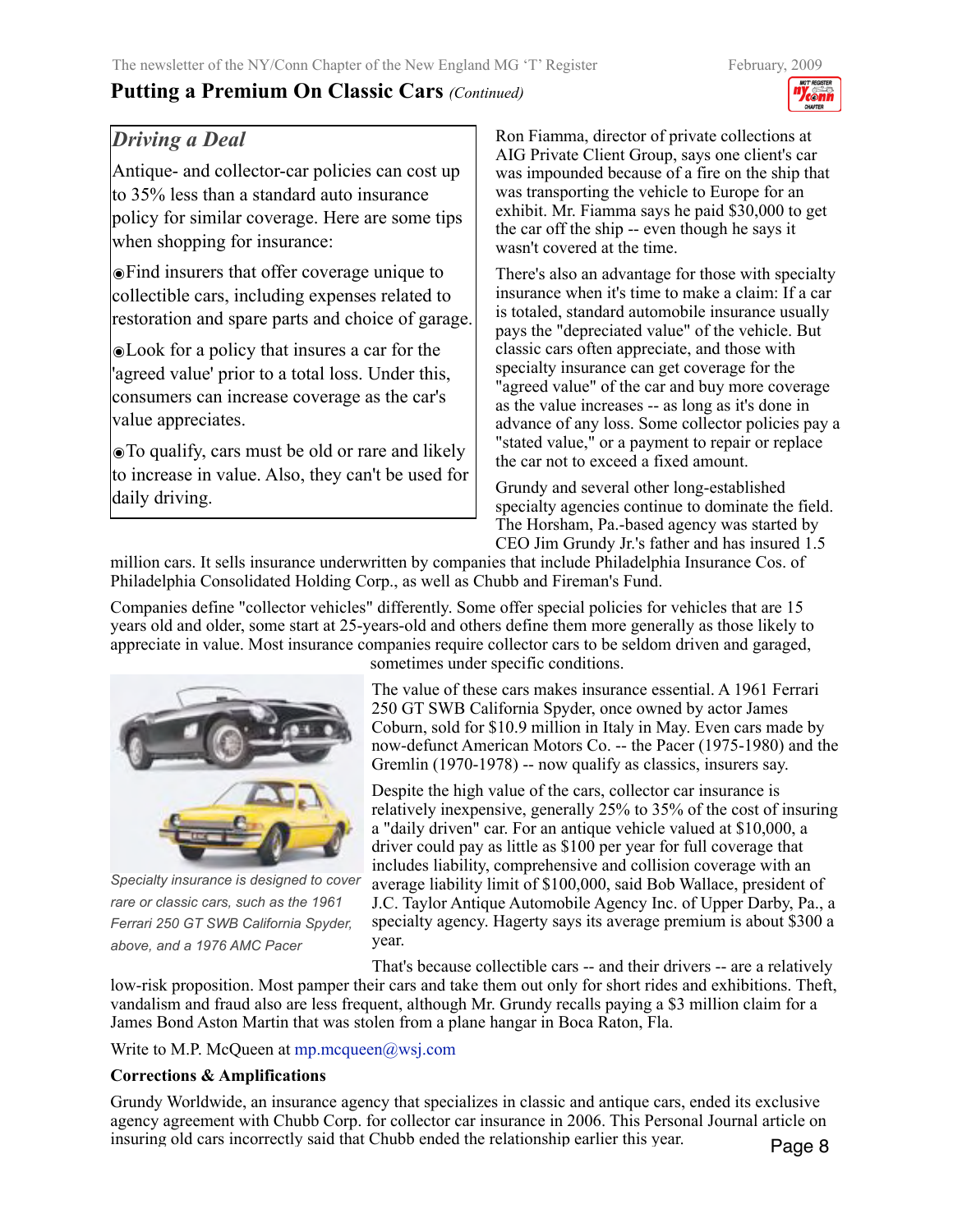# **Putting a Premium On Classic Cars** *(Continued)*

# *Driving a Deal*

Antique- and collector-car policies can cost up to 35% less than a standard auto insurance policy for similar coverage. Here are some tips when shopping for insurance:

!Find insurers that offer coverage unique to collectible cars, including expenses related to restoration and spare parts and choice of garage.

!Look for a policy that insures a car for the 'agreed value' prior to a total loss. Under this, consumers can increase coverage as the car's value appreciates.

!To qualify, cars must be old or rare and likely to increase in value. Also, they can't be used for daily driving.

Ron Fiamma, director of private collections at AIG Private Client Group, says one client's car was impounded because of a fire on the ship that was transporting the vehicle to Europe for an exhibit. Mr. Fiamma says he paid \$30,000 to get the car off the ship -- even though he says it wasn't covered at the time.

There's also an advantage for those with specialty insurance when it's time to make a claim: If a car is totaled, standard automobile insurance usually pays the "depreciated value" of the vehicle. But classic cars often appreciate, and those with specialty insurance can get coverage for the "agreed value" of the car and buy more coverage as the value increases -- as long as it's done in advance of any loss. Some collector policies pay a "stated value," or a payment to repair or replace the car not to exceed a fixed amount.

Grundy and several other long-established specialty agencies continue to dominate the field. The Horsham, Pa.-based agency was started by CEO Jim Grundy Jr.'s father and has insured 1.5

million cars. It sells insurance underwritten by companies that include Philadelphia Insurance Cos. of Philadelphia Consolidated Holding Corp., as well as Chubb and Fireman's Fund.

Companies define "collector vehicles" differently. Some offer special policies for vehicles that are 15 years old and older, some start at 25-years-old and others define them more generally as those likely to appreciate in value. Most insurance companies require collector cars to be seldom driven and garaged,



*Specialty insurance is designed to cover rare or classic cars, such as the 1961 Ferrari 250 GT SWB California Spyder, above, and a 1976 AMC Pacer*

sometimes under specific conditions.

The value of these cars makes insurance essential. A 1961 Ferrari 250 GT SWB California Spyder, once owned by actor James Coburn, sold for \$10.9 million in Italy in May. Even cars made by now-defunct American Motors Co. -- the Pacer (1975-1980) and the Gremlin (1970-1978) -- now qualify as classics, insurers say.

Despite the high value of the cars, collector car insurance is relatively inexpensive, generally 25% to 35% of the cost of insuring a "daily driven" car. For an antique vehicle valued at \$10,000, a driver could pay as little as \$100 per year for full coverage that includes liability, comprehensive and collision coverage with an average liability limit of \$100,000, said Bob Wallace, president of J.C. Taylor Antique Automobile Agency Inc. of Upper Darby, Pa., a specialty agency. Hagerty says its average premium is about \$300 a year.

That's because collectible cars -- and their drivers -- are a relatively low-risk proposition. Most pamper their cars and take them out only for short rides and exhibitions. Theft, vandalism and fraud also are less frequent, although Mr. Grundy recalls paying a \$3 million claim for a James Bond Aston Martin that was stolen from a plane hangar in Boca Raton, Fla.

Write to M.P. McQueen at [mp.mcqueen@wsj.com](mailto:mp.mcqueen@wsj.com)

#### **Corrections & Amplifications**

Grundy Worldwide, an insurance agency that specializes in classic and antique cars, ended its exclusive agency agreement with Chubb Corp. for collector car insurance in 2006. This Personal Journal article on insuring old cars incorrectly said that Chubb ended the relationship earlier this year. Page 8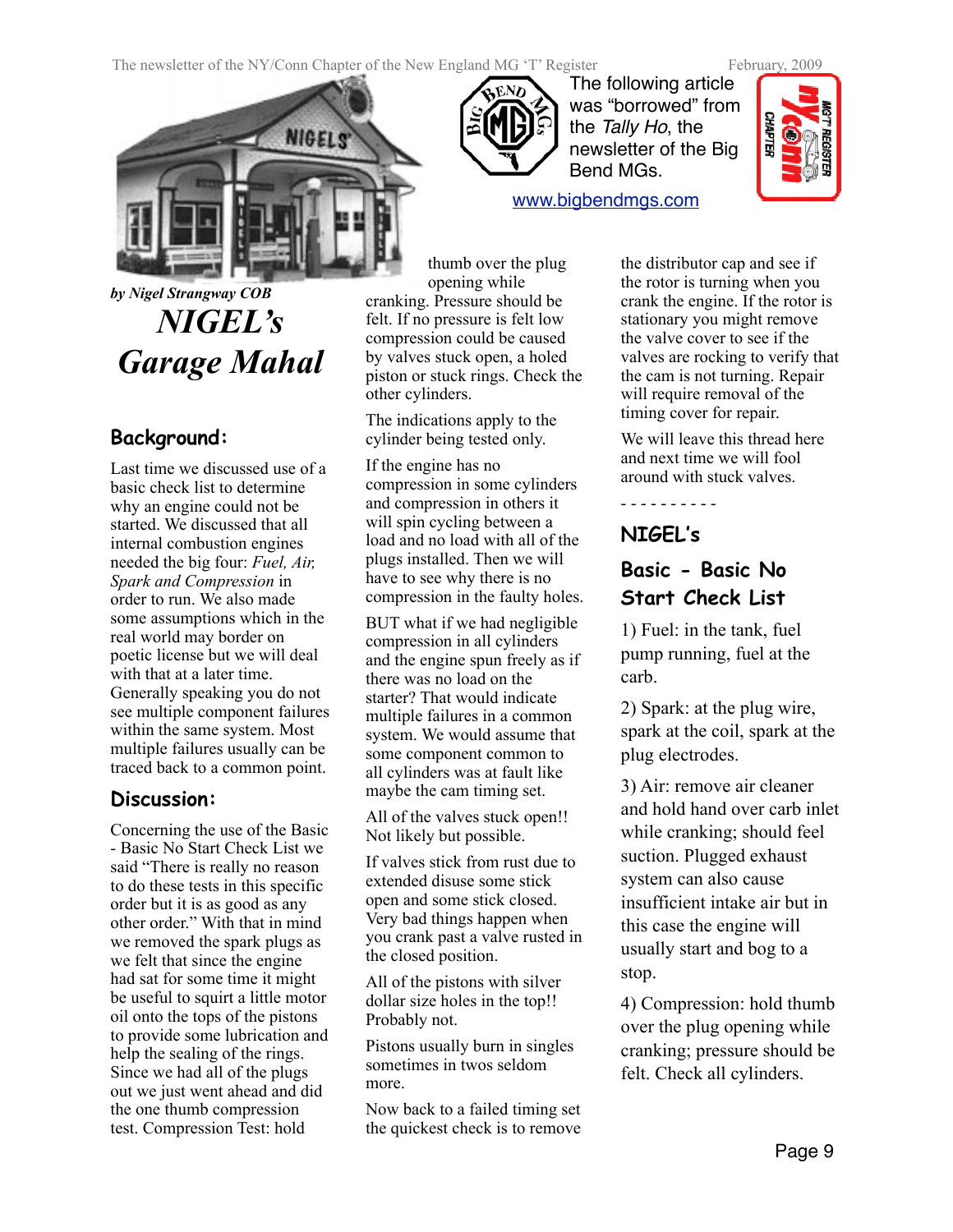The newsletter of the NY/Conn Chapter of the New England MG 'T' Register February, 2009



The following article was "borrowed" from the *Tally Ho*, the newsletter of the Big Bend MGs.

#### [www.bigbendmgs.com](http://www.bigbendmgs.com)





# *by Nigel Strangway COB NIGEL's Garage Mahal*

# **Background:**

Last time we discussed use of a basic check list to determine why an engine could not be started. We discussed that all internal combustion engines needed the big four: *Fuel, Air, Spark and Compression* in order to run. We also made some assumptions which in the real world may border on poetic license but we will deal with that at a later time. Generally speaking you do not see multiple component failures within the same system. Most multiple failures usually can be traced back to a common point.

## **Discussion:**

Concerning the use of the Basic - Basic No Start Check List we said "There is really no reason to do these tests in this specific order but it is as good as any other order." With that in mind we removed the spark plugs as we felt that since the engine had sat for some time it might be useful to squirt a little motor oil onto the tops of the pistons to provide some lubrication and help the sealing of the rings. Since we had all of the plugs out we just went ahead and did the one thumb compression test. Compression Test: hold

thumb over the plug opening while cranking. Pressure should be felt. If no pressure is felt low compression could be caused by valves stuck open, a holed piston or stuck rings. Check the other cylinders.

The indications apply to the cylinder being tested only.

If the engine has no compression in some cylinders and compression in others it will spin cycling between a load and no load with all of the plugs installed. Then we will have to see why there is no compression in the faulty holes.

BUT what if we had negligible compression in all cylinders and the engine spun freely as if there was no load on the starter? That would indicate multiple failures in a common system. We would assume that some component common to all cylinders was at fault like maybe the cam timing set.

All of the valves stuck open!! Not likely but possible.

If valves stick from rust due to extended disuse some stick open and some stick closed. Very bad things happen when you crank past a valve rusted in the closed position.

All of the pistons with silver dollar size holes in the top!! Probably not.

Pistons usually burn in singles sometimes in twos seldom more.

Now back to a failed timing set the quickest check is to remove

the distributor cap and see if the rotor is turning when you crank the engine. If the rotor is stationary you might remove the valve cover to see if the valves are rocking to verify that the cam is not turning. Repair will require removal of the timing cover for repair.

We will leave this thread here and next time we will fool around with stuck valves.

# - - - - - - - - - -

# **NIGEL's**

# **Basic - Basic No Start Check List**

1) Fuel: in the tank, fuel pump running, fuel at the carb.

2) Spark: at the plug wire, spark at the coil, spark at the plug electrodes.

3) Air: remove air cleaner and hold hand over carb inlet while cranking; should feel suction. Plugged exhaust system can also cause insufficient intake air but in this case the engine will usually start and bog to a stop.

4) Compression: hold thumb over the plug opening while cranking; pressure should be felt. Check all cylinders.